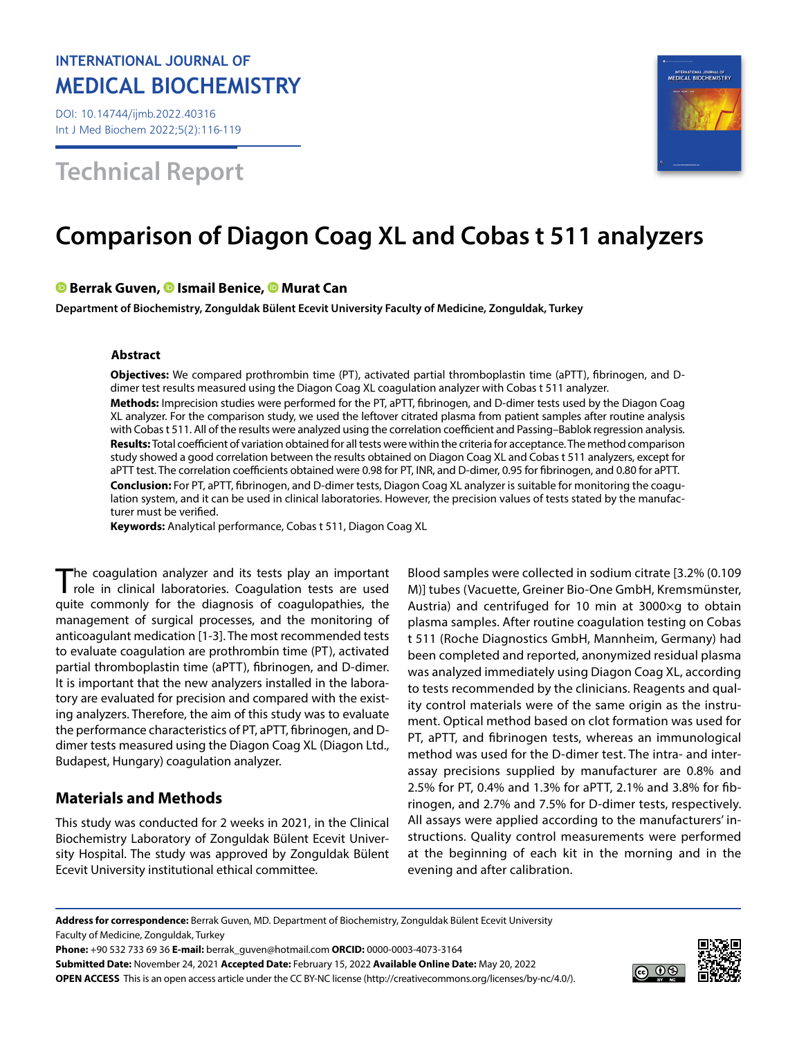## **INTERNATIONAL JOURNAL OF MEDICAL BIOCHEMISTRY**

DOI: 10.14744/ijmb.2022.40316 Int J Med Biochem 2022;5(2):116-119

# **Technical Report**



# **Comparison of Diagon Coag XL and Cobas t 511 analyzers**

## **Berrak Guven,Ismail Benice,Murat Can**

**Department of Biochemistry, Zonguldak Bülent Ecevit University Faculty of Medicine, Zonguldak, Turkey**

#### **Abstract**

**Objectives:** We compared prothrombin time (PT), activated partial thromboplastin time (aPTT), fibrinogen, and Ddimer test results measured using the Diagon Coag XL coagulation analyzer with Cobas t 511 analyzer. **Methods:** Imprecision studies were performed for the PT, aPTT, fibrinogen, and D-dimer tests used by the Diagon Coag XL analyzer. For the comparison study, we used the leftover citrated plasma from patient samples after routine analysis with Cobas t 511. All of the results were analyzed using the correlation coefficient and Passing–Bablok regression analysis. **Results:** Total coefficient of variation obtained for all tests were within the criteria for acceptance. The method comparison study showed a good correlation between the results obtained on Diagon Coag XL and Cobas t 511 analyzers, except for aPTT test. The correlation coefficients obtained were 0.98 for PT, INR, and D-dimer, 0.95 for fibrinogen, and 0.80 for aPTT. **Conclusion:** For PT, aPTT, fibrinogen, and D-dimer tests, Diagon Coag XL analyzer is suitable for monitoring the coagulation system, and it can be used in clinical laboratories. However, the precision values of tests stated by the manufacturer must be verified.

**Keywords:** Analytical performance, Cobas t 511, Diagon Coag XL

The coagulation analyzer and its tests play an important role in clinical laboratories. Coagulation tests are used quite commonly for the diagnosis of coagulopathies, the management of surgical processes, and the monitoring of anticoagulant medication [1-3]. The most recommended tests to evaluate coagulation are prothrombin time (PT), activated partial thromboplastin time (aPTT), fibrinogen, and D-dimer. It is important that the new analyzers installed in the laboratory are evaluated for precision and compared with the existing analyzers. Therefore, the aim of this study was to evaluate the performance characteristics of PT, aPTT, fibrinogen, and Ddimer tests measured using the Diagon Coag XL (Diagon Ltd., Budapest, Hungary) coagulation analyzer.

## **Materials and Methods**

This study was conducted for 2 weeks in 2021, in the Clinical Biochemistry Laboratory of Zonguldak Bülent Ecevit University Hospital. The study was approved by Zonguldak Bülent Ecevit University institutional ethical committee.

Blood samples were collected in sodium citrate [3.2% (0.109 M)] tubes (Vacuette, Greiner Bio-One GmbH, Kremsmünster, Austria) and centrifuged for 10 min at 3000×g to obtain plasma samples. After routine coagulation testing on Cobas t 511 (Roche Diagnostics GmbH, Mannheim, Germany) had been completed and reported, anonymized residual plasma was analyzed immediately using Diagon Coag XL, according to tests recommended by the clinicians. Reagents and quality control materials were of the same origin as the instrument. Optical method based on clot formation was used for PT, aPTT, and fibrinogen tests, whereas an immunological method was used for the D-dimer test. The intra- and interassay precisions supplied by manufacturer are 0.8% and 2.5% for PT, 0.4% and 1.3% for aPTT, 2.1% and 3.8% for fibrinogen, and 2.7% and 7.5% for D-dimer tests, respectively. All assays were applied according to the manufacturers' instructions. Quality control measurements were performed at the beginning of each kit in the morning and in the evening and after calibration.

**Address for correspondence:** Berrak Guven, MD. Department of Biochemistry, Zonguldak Bülent Ecevit University Faculty of Medicine, Zonguldak, Turkey

**Phone:** +90 532 733 69 36 **E-mail:** berrak\_guven@hotmail.com **ORCID:** 0000-0003-4073-3164 **Submitted Date:** November 24, 2021 **Accepted Date:** February 15, 2022 **Available Online Date:** May 20, 2022 **OPEN ACCESS** This is an open access article under the CC BY-NC license (http://creativecommons.org/licenses/by-nc/4.0/).

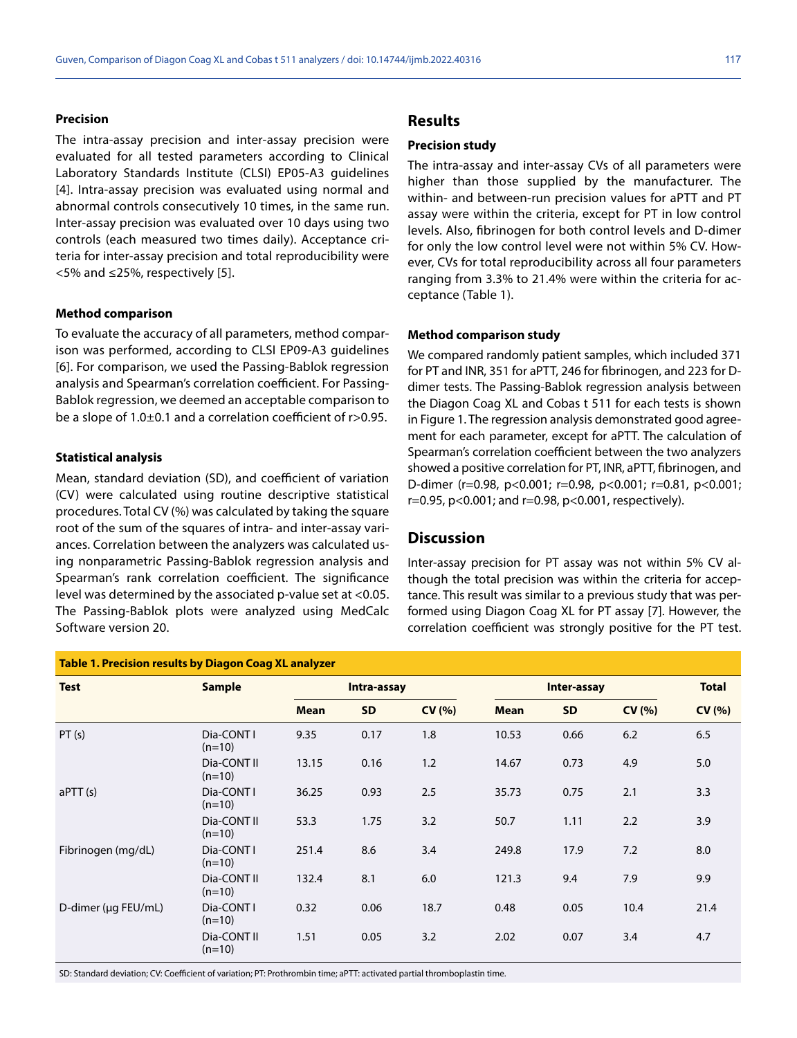#### **Precision**

The intra-assay precision and inter-assay precision were evaluated for all tested parameters according to Clinical Laboratory Standards Institute (CLSI) EP05-A3 guidelines [4]. Intra-assay precision was evaluated using normal and abnormal controls consecutively 10 times, in the same run. Inter-assay precision was evaluated over 10 days using two controls (each measured two times daily). Acceptance criteria for inter-assay precision and total reproducibility were <5% and ≤25%, respectively [5].

#### **Method comparison**

To evaluate the accuracy of all parameters, method comparison was performed, according to CLSI EP09-A3 guidelines [6]. For comparison, we used the Passing-Bablok regression analysis and Spearman's correlation coefficient. For Passing-Bablok regression, we deemed an acceptable comparison to be a slope of 1.0±0.1 and a correlation coefficient of r>0.95.

#### **Statistical analysis**

Mean, standard deviation (SD), and coefficient of variation (CV) were calculated using routine descriptive statistical procedures. Total CV (%) was calculated by taking the square root of the sum of the squares of intra- and inter-assay variances. Correlation between the analyzers was calculated using nonparametric Passing-Bablok regression analysis and Spearman's rank correlation coefficient. The significance level was determined by the associated p-value set at <0.05. The Passing-Bablok plots were analyzed using MedCalc Software version 20.

## **Results**

#### **Precision study**

The intra-assay and inter-assay CVs of all parameters were higher than those supplied by the manufacturer. The within- and between-run precision values for aPTT and PT assay were within the criteria, except for PT in low control levels. Also, fibrinogen for both control levels and D-dimer for only the low control level were not within 5% CV. However, CVs for total reproducibility across all four parameters ranging from 3.3% to 21.4% were within the criteria for acceptance (Table 1).

#### **Method comparison study**

We compared randomly patient samples, which included 371 for PT and INR, 351 for aPTT, 246 for fibrinogen, and 223 for Ddimer tests. The Passing-Bablok regression analysis between the Diagon Coag XL and Cobas t 511 for each tests is shown in Figure 1. The regression analysis demonstrated good agreement for each parameter, except for aPTT. The calculation of Spearman's correlation coefficient between the two analyzers showed a positive correlation for PT, INR, aPTT, fibrinogen, and D-dimer (r=0.98, p<0.001; r=0.98, p<0.001; r=0.81, p<0.001; r=0.95, p<0.001; and r=0.98, p<0.001, respectively).

#### **Discussion**

Inter-assay precision for PT assay was not within 5% CV although the total precision was within the criteria for acceptance. This result was similar to a previous study that was performed using Diagon Coag XL for PT assay [7]. However, the correlation coefficient was strongly positive for the PT test.

| <b>Table 1. Precision results by Diagon Coag XL analyzer</b> |                         |             |           |        |             |           |        |              |
|--------------------------------------------------------------|-------------------------|-------------|-----------|--------|-------------|-----------|--------|--------------|
| <b>Test</b>                                                  | <b>Sample</b>           | Intra-assay |           |        | Inter-assay |           |        | <b>Total</b> |
|                                                              |                         | <b>Mean</b> | <b>SD</b> | CV(% ) | <b>Mean</b> | <b>SD</b> | CV(% ) | CV(% )       |
| PT(s)                                                        | Dia-CONT I<br>$(n=10)$  | 9.35        | 0.17      | 1.8    | 10.53       | 0.66      | 6.2    | 6.5          |
|                                                              | Dia-CONT II<br>$(n=10)$ | 13.15       | 0.16      | 1.2    | 14.67       | 0.73      | 4.9    | 5.0          |
| aPTT (s)                                                     | Dia-CONT I<br>$(n=10)$  | 36.25       | 0.93      | 2.5    | 35.73       | 0.75      | 2.1    | 3.3          |
|                                                              | Dia-CONT II<br>$(n=10)$ | 53.3        | 1.75      | 3.2    | 50.7        | 1.11      | 2.2    | 3.9          |
| Fibrinogen (mg/dL)                                           | Dia-CONT I<br>$(n=10)$  | 251.4       | 8.6       | 3.4    | 249.8       | 17.9      | 7.2    | 8.0          |
|                                                              | Dia-CONT II<br>$(n=10)$ | 132.4       | 8.1       | 6.0    | 121.3       | 9.4       | 7.9    | 9.9          |
| D-dimer (µg FEU/mL)                                          | Dia-CONT I<br>$(n=10)$  | 0.32        | 0.06      | 18.7   | 0.48        | 0.05      | 10.4   | 21.4         |
|                                                              | Dia-CONT II<br>$(n=10)$ | 1.51        | 0.05      | 3.2    | 2.02        | 0.07      | 3.4    | 4.7          |

SD: Standard deviation; CV: Coefficient of variation; PT: Prothrombin time; aPTT: activated partial thromboplastin time.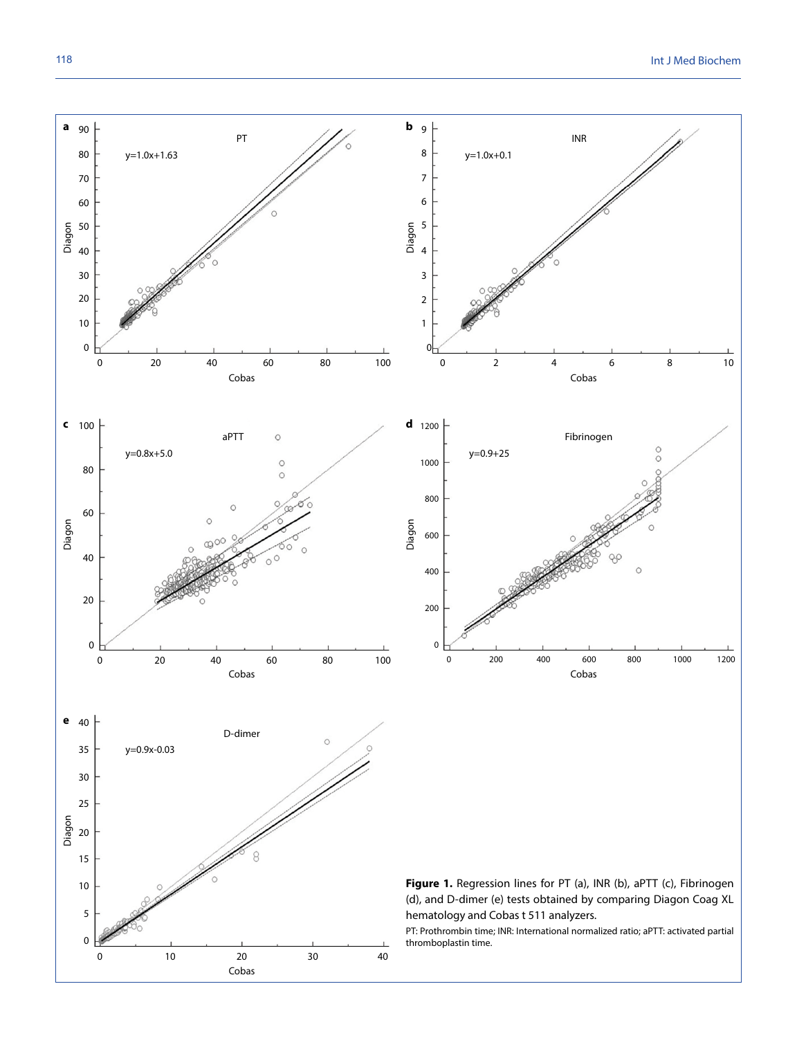